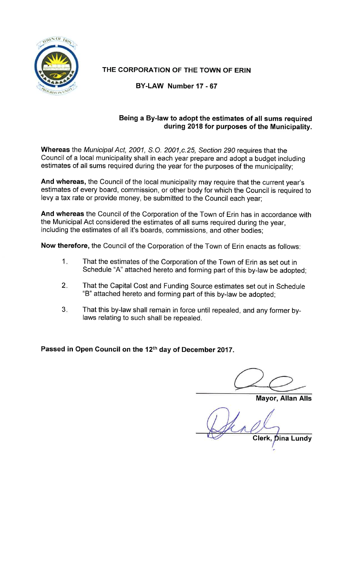

# THE CORPORATION OF THE TOWN OF ERIN

BY-LAW Number 17 - 67

## Being a By-law to adopt the estimates of all sums required during 2018 for purposes of the Municipality.

Whereas the Municipal Act, 2001, S.O. 2001, c. 25, Section 290 requires that the Council of a local municipality shall in each year prepare and adopt a budget including estimates of all sums required during the year for the purposes of the municipality;

And whereas, the Council of the local municipality may require that the current year's estimates of every board, commission, or other body for which the Council is required to levy a tax rate or provide money, be submitted to the Council each year;

And whereas the Council of the Corporation of the Town of Erin has in accordance with the Municipal Act considered the estimates of all sums required during the year, including the estimates of all it's boards, commissions, and other bodies;

Now therefore, the Council of the Corporation of the Town of Erin enacts as follows:

- $1.$ That the estimates of the Corporation of the Town of Erin as set out in Schedule "A" attached hereto and forming part of this by-law be adopted;
- $2.$ That the Capital Cost and Funding Source estimates set out in Schedule "B" attached hereto and forming part of this by-law be adopted;
- $3.$ That this by-law shall remain in force until repealed, and any former bylaws relating to such shall be repealed.

Passed in Open Council on the 12th day of December 2017.

**Mayor, Allan Alls** 

Clerk, Dina Lundy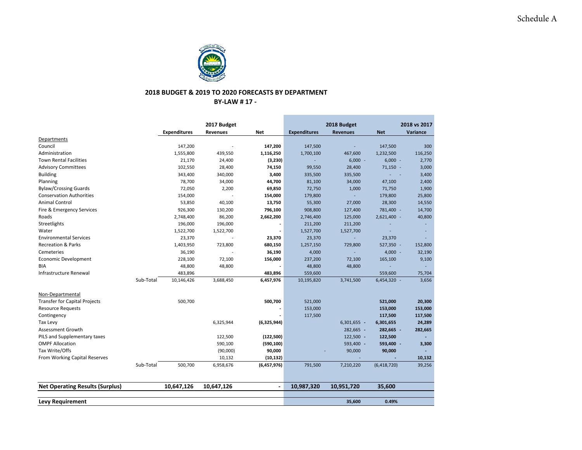

### **2018 BUDGET & 2019 TO 2020 FORECASTS BY DEPARTMENT**

**BY‐LAW # 17 ‐** 

÷

|                                        |           |                     | 2017 Budget |                |                     | 2018 Budget     |             | 2018 vs 2017 |
|----------------------------------------|-----------|---------------------|-------------|----------------|---------------------|-----------------|-------------|--------------|
|                                        |           | <b>Expenditures</b> | Revenues    | <b>Net</b>     | <b>Expenditures</b> | <b>Revenues</b> | <b>Net</b>  | Variance     |
| Departments                            |           |                     |             |                |                     |                 |             |              |
| Council                                |           | 147,200             |             | 147,200        | 147,500             |                 | 147,500     | 300          |
| Administration                         |           | 1,555,800           | 439,550     | 1,116,250      | 1,700,100           | 467,600         | 1,232,500   | 116,250      |
| <b>Town Rental Facilities</b>          |           | 21,170              | 24,400      | (3, 230)       |                     | $6,000 -$       | $6,000 -$   | 2,770        |
| <b>Advisory Committees</b>             |           | 102,550             | 28,400      | 74,150         | 99,550              | 28,400          | 71,150 -    | 3,000        |
| <b>Building</b>                        |           | 343,400             | 340,000     | 3,400          | 335,500             | 335,500         |             | 3,400        |
| Planning                               |           | 78,700              | 34,000      | 44,700         | 81,100              | 34,000          | 47,100      | 2,400        |
| <b>Bylaw/Crossing Guards</b>           |           | 72,050              | 2,200       | 69,850         | 72,750              | 1,000           | 71,750      | 1,900        |
| <b>Conservation Authorities</b>        |           | 154,000             |             | 154,000        | 179,800             |                 | 179,800     | 25,800       |
| <b>Animal Control</b>                  |           | 53,850              | 40,100      | 13,750         | 55,300              | 27,000          | 28,300      | 14,550       |
| Fire & Emergency Services              |           | 926,300             | 130,200     | 796,100        | 908,800             | 127,400         | 781,400 -   | 14,700       |
| Roads                                  |           | 2,748,400           | 86,200      | 2,662,200      | 2,746,400           | 125,000         | 2,621,400 - | 40,800       |
| Streetlights                           |           | 196,000             | 196,000     |                | 211,200             | 211,200         |             |              |
| Water                                  |           | 1,522,700           | 1,522,700   | $\blacksquare$ | 1,527,700           | 1,527,700       |             | ÷            |
| <b>Environmental Services</b>          |           | 23,370              |             | 23,370         | 23,370              |                 | 23,370      |              |
| <b>Recreation &amp; Parks</b>          |           | 1,403,950           | 723,800     | 680,150        | 1,257,150           | 729,800         | 527,350 -   | 152,800      |
| Cemeteries                             |           | 36,190              |             | 36,190         | 4,000               |                 | $4,000 -$   | 32,190       |
| Economic Development                   |           | 228,100             | 72,100      | 156,000        | 237,200             | 72,100          | 165,100     | 9,100        |
| <b>BIA</b>                             |           | 48,800              | 48,800      |                | 48,800              | 48,800          |             |              |
| Infrastructure Renewal                 |           | 483,896             |             | 483,896        | 559,600             |                 | 559,600     | 75,704       |
|                                        | Sub-Total | 10,146,426          | 3,688,450   | 6,457,976      | 10,195,820          | 3,741,500       | 6,454,320 - | 3,656        |
| Non-Departmental                       |           |                     |             |                |                     |                 |             |              |
| <b>Transfer for Capital Projects</b>   |           | 500,700             |             | 500,700        | 521,000             |                 | 521,000     | 20,300       |
| <b>Resource Requests</b>               |           |                     |             |                | 153,000             |                 | 153,000     | 153,000      |
| Contingency                            |           |                     |             |                | 117,500             |                 | 117,500     | 117,500      |
| Tax Levy                               |           |                     | 6,325,944   | (6,325,944)    |                     | 6,301,655 -     | 6,301,655   | 24,289       |
| Assessment Growth                      |           |                     |             |                |                     | 282,665 -       | 282,665 -   | 282,665      |
| PILS and Supplementary taxes           |           |                     | 122,500     | (122, 500)     |                     | 122,500 -       | 122,500     |              |
| <b>OMPF Allocation</b>                 |           |                     | 590,100     | (590, 100)     |                     | 593,400 -       | 593,400 -   | 3,300        |
| Tax Write/Offs                         |           |                     | (90,000)    | 90,000         |                     | 90,000          | 90,000      |              |
| From Working Capital Reserves          |           |                     | 10,132      | (10, 132)      |                     |                 |             | 10,132       |
|                                        | Sub-Total | 500,700             | 6,958,676   | (6,457,976)    | 791,500             | 7,210,220       | (6,418,720) | 39,256       |
| <b>Net Operating Results (Surplus)</b> |           | 10,647,126          | 10,647,126  | $\blacksquare$ | 10,987,320          | 10,951,720      | 35,600      |              |
|                                        |           |                     |             |                |                     |                 |             |              |
| <b>Levy Requirement</b>                |           |                     |             |                |                     | 35,600          | 0.49%       |              |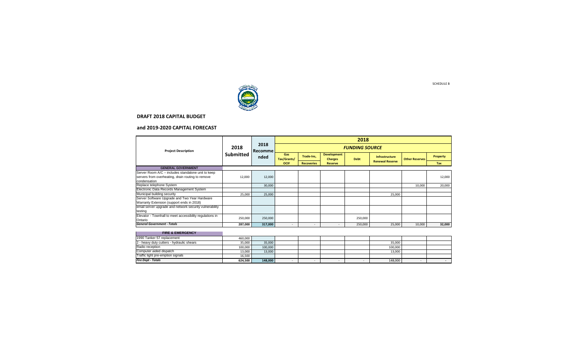

#### **and 2019‐2020 CAPITAL FORECAST**

|                                                                                                                         |                          |                         | 2018<br><b>FUNDING SOURCE</b> |                   |                                      |             |                                          |                       |          |  |  |
|-------------------------------------------------------------------------------------------------------------------------|--------------------------|-------------------------|-------------------------------|-------------------|--------------------------------------|-------------|------------------------------------------|-----------------------|----------|--|--|
| <b>Project Description</b>                                                                                              | 2018<br><b>Submitted</b> | 2018<br>Recomme<br>nded |                               |                   |                                      |             |                                          |                       |          |  |  |
|                                                                                                                         |                          |                         | Gas<br>Tax/Grants/            | Trade-Ins,        | <b>Development</b><br><b>Charges</b> | <b>Debt</b> | Infrastructure<br><b>Renewal Reserve</b> | <b>Other Reserves</b> | Property |  |  |
|                                                                                                                         |                          |                         | <b>OCIF</b>                   | <b>Recoveries</b> | <b>Reserve</b>                       |             |                                          |                       | Tax      |  |  |
| <b>GENERAL GOVERNMENT</b>                                                                                               |                          |                         |                               |                   |                                      |             |                                          |                       |          |  |  |
| Server Room A/C - includes standalone unit to keep<br>servers from overheating, drain routing to remove<br>condensation | 12,000                   | 12,000                  |                               |                   |                                      |             |                                          |                       | 12,000   |  |  |
| Replace telephone System                                                                                                |                          | 30,000                  |                               |                   |                                      |             |                                          | 10,000                | 20,000   |  |  |
| Electronic Data Records Management System                                                                               |                          |                         |                               |                   |                                      |             |                                          |                       |          |  |  |
| Municipal building security                                                                                             | 25,000                   | 25,000                  |                               |                   |                                      |             | 25,000                                   |                       |          |  |  |
| Server Software Upgrade and Two Year Hardware<br>Warranty Extension (support ends in 2018)                              |                          |                         |                               |                   |                                      |             |                                          |                       |          |  |  |
| email server upgrade and network security vulnerability<br>testing                                                      |                          |                         |                               |                   |                                      |             |                                          |                       |          |  |  |
| Elevator - Townhall to meet accessibility regulations in<br>Ontario                                                     | 250,000                  | 250,000                 |                               |                   |                                      | 250,000     |                                          |                       |          |  |  |
| <b>General Government - Totals</b>                                                                                      | 287,000                  | 317,000                 | $\sim$                        | $\sim$            | $\overline{\phantom{a}}$             | 250,000     | 25,000                                   | 10,000                | 32,000   |  |  |
| <b>FIRE &amp; EMERGENCY</b>                                                                                             |                          |                         |                               |                   |                                      |             |                                          |                       |          |  |  |
| $1000T - 100T - 100T$                                                                                                   |                          |                         |                               |                   |                                      |             |                                          |                       |          |  |  |

| <b>Fire Dept - Totals</b>                 | 624.500 | 148.000 |  |  | 148,000 |  |
|-------------------------------------------|---------|---------|--|--|---------|--|
| Traffic light pre-emption signals         | 16.500  |         |  |  |         |  |
| Computer aided dispatch                   | 13.000  | 13,000  |  |  | 13.000  |  |
| Radio reception                           | 100.000 | 100,000 |  |  | 100.000 |  |
| 2 - heavy duty cutters - hydraulic shears | 35.000  | 35,000  |  |  | 35.000  |  |
| 1990 Tanker 57 replacement                | 460.000 |         |  |  |         |  |

SCHEDULE B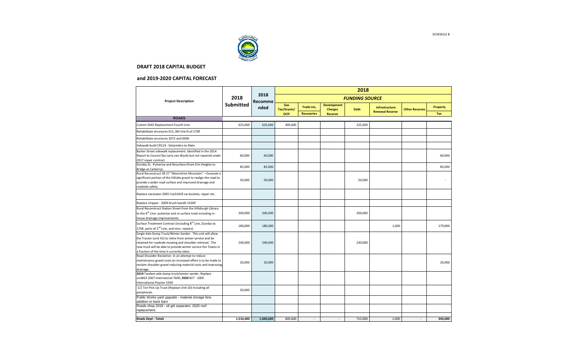

#### **and 2019‐2020 CAPITAL FORECAST**

|                                                                                                                                                                                                                                                                                                     |                  | 2018                   |                    |                   |                                      |                       |                        |                       |                 |
|-----------------------------------------------------------------------------------------------------------------------------------------------------------------------------------------------------------------------------------------------------------------------------------------------------|------------------|------------------------|--------------------|-------------------|--------------------------------------|-----------------------|------------------------|-----------------------|-----------------|
| <b>Project Description</b>                                                                                                                                                                                                                                                                          | 2018             | 2018<br><b>Recomme</b> |                    |                   |                                      | <b>FUNDING SOURCE</b> |                        |                       |                 |
|                                                                                                                                                                                                                                                                                                     | <b>Submitted</b> | nded                   | Gas<br>Tax/Grants/ | Trade-Ins,        | <b>Development</b><br><b>Charges</b> | <b>Debt</b>           | Infrastructure         | <b>Other Reserves</b> | <b>Property</b> |
|                                                                                                                                                                                                                                                                                                     |                  |                        | <b>OCIF</b>        | <b>Recoveries</b> | <b>Reserve</b>                       |                       | <b>Renewal Reserve</b> |                       | Tax             |
| <b>ROADS</b>                                                                                                                                                                                                                                                                                        |                  |                        |                    |                   |                                      |                       |                        |                       |                 |
| Culvert 2045 Replacement-Fourth Line                                                                                                                                                                                                                                                                | 625,600          | 625,600                | 400,600            |                   |                                      | 225,000               |                        |                       |                 |
| Rehabilitate structures 011, 8th line N of 17SR                                                                                                                                                                                                                                                     |                  |                        |                    |                   |                                      |                       |                        |                       |                 |
| Rehabilitate structures 2072 and 0006                                                                                                                                                                                                                                                               |                  |                        |                    |                   |                                      |                       |                        |                       |                 |
| Sidewalk build CR124 - Delarmbro to Main                                                                                                                                                                                                                                                            |                  |                        |                    |                   |                                      |                       |                        |                       |                 |
| Barker Street sidewalk replacement. Identified in the 2014<br>Report to Council (by Larry van Wyck) but not repaired under<br>2017 repair contract                                                                                                                                                  | 60,000           | 60,000                 |                    |                   |                                      |                       |                        |                       | 60,000          |
| Dundas St. - Pulverize and Resurface (from Erin Heights to<br>Bridge at Carberry).                                                                                                                                                                                                                  | 85,000           | 85,000                 |                    |                   |                                      |                       |                        |                       | 85,000          |
| Rural Reconstruct SR 27 "Moonshine Mountain" - Excavate a<br>significant portion of the hillside gravel to realign the road to<br>provide a wider road surface and improved drainage and<br>roadside safety.                                                                                        | 50,000           | 50,000                 |                    |                   |                                      | 50,000                |                        |                       |                 |
| Replace excavator 2005 Cat314CR cw buckets, ripper etc.                                                                                                                                                                                                                                             |                  |                        |                    |                   |                                      |                       |                        |                       |                 |
| Replace chipper - 2009 brush bandit 150XP                                                                                                                                                                                                                                                           |                  |                        |                    |                   |                                      |                       |                        |                       |                 |
| Rural Reconstruct Station Street from the Hillsburgh Library<br>to the 6 <sup>th</sup> Line- pulverize and re surface treat including in-<br>house drainage improvements                                                                                                                            | 200,000          | 200,000                |                    |                   |                                      | 200,000               |                        |                       |                 |
| Surface Treatment Contract (including 8 <sup>th</sup> Line, Dundas to<br>17SR, parts of 2 <sup>nd</sup> Line, and misc. repairs).                                                                                                                                                                   | 180,000          | 180,000                |                    |                   |                                      |                       | 1,000                  |                       | 179,000         |
| Single Axle Dump Truck/Winter Sander. This unit will allow<br>the Tractor (unit 41) to retire from winter service and be<br>retained for roadside mowing and shoulder retrieval. The<br>new truck will be able to provide winter service the Towns in<br>a fraction of the time it currently takes. | 240,000          | 240,000                |                    |                   |                                      | 240,000               |                        |                       |                 |
| Road Shoulder Reclaimer. In an attempt to reduce<br>maintenance gravel costs an increased effort is to be made to<br>reclaim shoulder gravel reducing material costs and improving<br>drainage.                                                                                                     | 20,000           | 20,000                 |                    |                   |                                      |                       |                        |                       | 20,000          |
| 2019 Tandem axle dump truck/winter sander. Replace<br>unit#23 2007 Internaional 7600; 2020 #27 - 2005<br>International Paystar 5500                                                                                                                                                                 |                  |                        |                    |                   |                                      |                       |                        |                       |                 |
| 1/2 Ton Pick Up Truck (Replace Unit 10) including all<br>peripherals.                                                                                                                                                                                                                               | 50,000           |                        |                    |                   |                                      |                       |                        |                       |                 |
| Public Works yard upgrade - material storage bins<br>addition to back barn                                                                                                                                                                                                                          |                  |                        |                    |                   |                                      |                       |                        |                       |                 |
| Roads shop 2019 - oil grit separator; 2020 roof<br>replacement;                                                                                                                                                                                                                                     |                  |                        |                    |                   |                                      |                       |                        |                       |                 |
| Roads Dept - Totals                                                                                                                                                                                                                                                                                 | 1,510,600        | 1,460,600              | 400,600            | $\sim$            | $\overline{\phantom{a}}$             | 715,000               | 1,000                  | $\sim$                | 344.000         |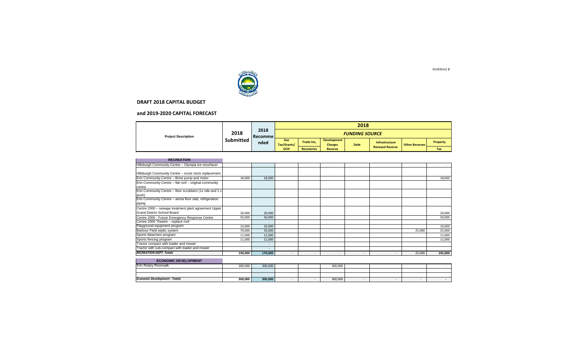

#### **and 2019‐2020 CAPITAL FORECAST**

| <b>Project Description</b> |                          |                             |                       |                   |                                      | 2018        |                        |                       |          |
|----------------------------|--------------------------|-----------------------------|-----------------------|-------------------|--------------------------------------|-------------|------------------------|-----------------------|----------|
|                            | 2018<br><b>Submitted</b> | 2018<br>  Recomme  <br>nded | <b>FUNDING SOURCE</b> |                   |                                      |             |                        |                       |          |
|                            |                          |                             | Gas<br>Tax/Grants/    | Trade-Ins.        | <b>Development</b><br><b>Charges</b> | <b>Debt</b> | <b>Infrastructure</b>  | <b>Other Reserves</b> | Property |
|                            |                          |                             | <b>OCIF</b>           | <b>Recoveries</b> | <b>Reserve</b>                       |             | <b>Renewal Reserve</b> |                       | Tax      |

| <b>RECREATION</b>                                                                          |         |                          |                          |        |        |                |        |         |
|--------------------------------------------------------------------------------------------|---------|--------------------------|--------------------------|--------|--------|----------------|--------|---------|
| Hillsburgh Community Centre - Olympia ice resurfacer                                       |         |                          |                          |        |        |                |        |         |
| Hillsburgh Community Centre - score clock replacement                                      |         |                          |                          |        |        |                |        |         |
| Erin Community Centre - Brine pump and motor                                               | 18,000  | 18,000                   |                          |        |        |                |        | 18,000  |
| Erin Community Centre - flat roof - original community<br>centre                           |         |                          |                          |        |        |                |        |         |
| Erin Community Centre - floor scrubbers (1x ride and 1 x<br>push)                          |         |                          |                          |        |        |                |        |         |
| Erin Community Centre - arena floor slab, refrigeration<br>piping                          |         |                          |                          |        |        |                |        |         |
| Centre 2000 - sewage treatment plant agreement Upper<br><b>Grand District School Board</b> | 20,000  | 20,000                   |                          |        |        |                |        | 20,000  |
| Centre 2000 - Future Emergency Response Centre                                             | 50,000  | 50,000                   |                          |        |        |                |        | 50,000  |
| Centre 2000 Theatre - replace roof                                                         |         |                          |                          |        |        |                |        |         |
| Playground equipment program                                                               | 10,000  | 10,000                   |                          |        |        |                |        | 10,000  |
| Barbour Field septic system                                                                | 70,000  | 50,000                   |                          |        |        |                | 25,000 | 25,000  |
| Sports bleachers program                                                                   | 11,000  | 11,000                   |                          |        |        |                |        | 11,000  |
| Sports fencing program                                                                     | 11,000  | 11,000                   |                          |        |        |                |        | 11,000  |
| Tractor compact with loader and mower                                                      |         | $\overline{\phantom{a}}$ |                          |        |        |                |        |         |
| Tractor with sub-compact with loader and mower                                             |         | ۰                        |                          |        |        |                |        |         |
| <b>RECREATION DEPT-Totals</b>                                                              | 190,000 | 170,000                  | $\overline{\phantom{a}}$ | $\sim$ | $\sim$ | $\overline{a}$ | 25,000 | 145,000 |
| <b>ECONOMIC DEVELOPMENT</b>                                                                |         |                          |                          |        |        |                |        |         |

| ____<br>____<br>__                   |         |         |  |         |  |  |
|--------------------------------------|---------|---------|--|---------|--|--|
| Erin Rotary Riverwalk                | 300,000 | 300,000 |  | 300,000 |  |  |
|                                      |         |         |  |         |  |  |
|                                      |         |         |  |         |  |  |
| <b>Economic Development - Totals</b> | 300,000 | 300,000 |  | 300,000 |  |  |
|                                      |         |         |  |         |  |  |

SCHEDULE B